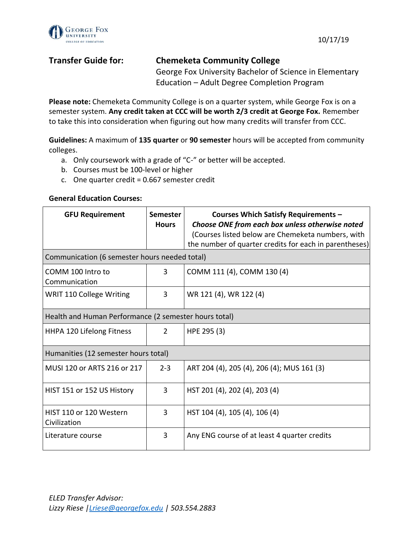



# **Transfer Guide for: Chemeketa Community College** George Fox University Bachelor of Science in Elementary Education – Adult Degree Completion Program

**Please note:** Chemeketa Community College is on a quarter system, while George Fox is on a semester system. **Any credit taken at CCC will be worth 2/3 credit at George Fox.** Remember to take this into consideration when figuring out how many credits will transfer from CCC.

**Guidelines:** A maximum of **135 quarter** or **90 semester** hours will be accepted from community colleges.

- a. Only coursework with a grade of "C-" or better will be accepted.
- b. Courses must be 100-level or higher
- c. One quarter credit = 0.667 semester credit

### **General Education Courses:**

| <b>GFU Requirement</b>                                | <b>Semester</b><br><b>Hours</b> | Courses Which Satisfy Requirements -<br>Choose ONE from each box unless otherwise noted<br>(Courses listed below are Chemeketa numbers, with<br>the number of quarter credits for each in parentheses) |  |  |
|-------------------------------------------------------|---------------------------------|--------------------------------------------------------------------------------------------------------------------------------------------------------------------------------------------------------|--|--|
| Communication (6 semester hours needed total)         |                                 |                                                                                                                                                                                                        |  |  |
| COMM 100 Intro to<br>Communication                    | 3                               | COMM 111 (4), COMM 130 (4)                                                                                                                                                                             |  |  |
| <b>WRIT 110 College Writing</b>                       | 3                               | WR 121 (4), WR 122 (4)                                                                                                                                                                                 |  |  |
| Health and Human Performance (2 semester hours total) |                                 |                                                                                                                                                                                                        |  |  |
| HHPA 120 Lifelong Fitness                             | $\overline{2}$                  | HPE 295 (3)                                                                                                                                                                                            |  |  |
| Humanities (12 semester hours total)                  |                                 |                                                                                                                                                                                                        |  |  |
| MUSI 120 or ARTS 216 or 217                           | $2 - 3$                         | ART 204 (4), 205 (4), 206 (4); MUS 161 (3)                                                                                                                                                             |  |  |
| HIST 151 or 152 US History                            | 3                               | HST 201 (4), 202 (4), 203 (4)                                                                                                                                                                          |  |  |
| HIST 110 or 120 Western<br>Civilization               | 3                               | HST 104 (4), 105 (4), 106 (4)                                                                                                                                                                          |  |  |
| Literature course                                     | 3                               | Any ENG course of at least 4 quarter credits                                                                                                                                                           |  |  |